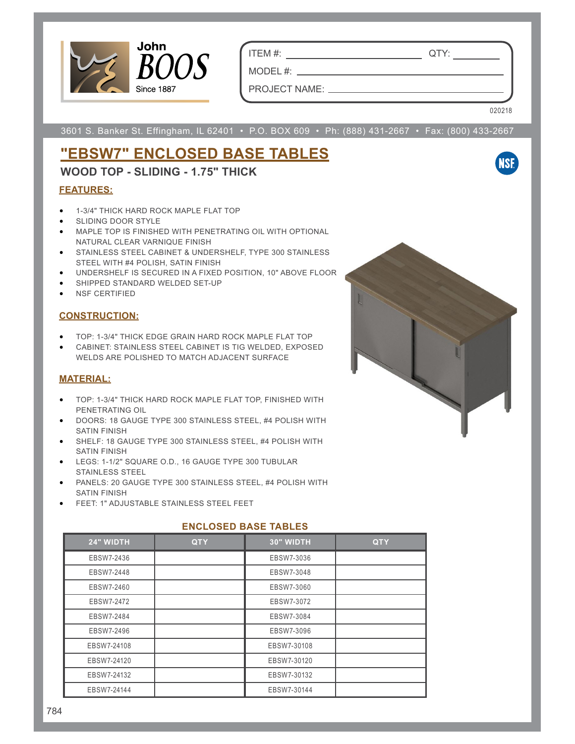

ITEM #: QTY:

PROJECT NAME:

MODEL #:

020218

**NSF** 

3601 S. Banker St. Effingham, IL 62401 • P.O. BOX 609 • Ph: (888) 431-2667 • Fax: (800) 433-2667

# **"EBSW7" ENCLOSED BASE TABLES**

### **WOOD TOP - SLIDING - 1.75" THICK**

#### **FEATURES:**

- 1-3/4" THICK HARD ROCK MAPLE FLAT TOP
- SLIDING DOOR STYLE
- MAPLE TOP IS FINISHED WITH PENETRATING OIL WITH OPTIONAL NATURAL CLEAR VARNIQUE FINISH
- STAINLESS STEEL CABINET & UNDERSHELF, TYPE 300 STAINLESS STEEL WITH #4 POLISH, SATIN FINISH
- UNDERSHELF IS SECURED IN A FIXED POSITION, 10" ABOVE FLOOR
- SHIPPED STANDARD WELDED SET-UP
- NSF CERTIFIED

#### **CONSTRUCTION:**

- TOP: 1-3/4" THICK EDGE GRAIN HARD ROCK MAPLE FLAT TOP
- CABINET: STAINLESS STEEL CABINET IS TIG WELDED, EXPOSED WELDS ARE POLISHED TO MATCH ADJACENT SURFACE

#### **MATERIAL:**

- TOP: 1-3/4" THICK HARD ROCK MAPLE FLAT TOP, FINISHED WITH PENETRATING OIL
- DOORS: 18 GAUGE TYPE 300 STAINLESS STEEL, #4 POLISH WITH SATIN FINISH
- SHELF: 18 GAUGE TYPE 300 STAINLESS STEEL, #4 POLISH WITH SATIN FINISH
- LEGS: 1-1/2" SQUARE O.D., 16 GAUGE TYPE 300 TUBULAR STAINLESS STEEL
- PANELS: 20 GAUGE TYPE 300 STAINLESS STEEL, #4 POLISH WITH SATIN FINISH
- FEET: 1" ADJUSTABLE STAINLESS STEEL FEET

| 24" WIDTH   | <b>QTY</b> | 30" WIDTH   | <b>QTY</b> |  |  |  |
|-------------|------------|-------------|------------|--|--|--|
| EBSW7-2436  |            | EBSW7-3036  |            |  |  |  |
| EBSW7-2448  |            | EBSW7-3048  |            |  |  |  |
| EBSW7-2460  |            | EBSW7-3060  |            |  |  |  |
| EBSW7-2472  |            | EBSW7-3072  |            |  |  |  |
| EBSW7-2484  |            | EBSW7-3084  |            |  |  |  |
| EBSW7-2496  |            | EBSW7-3096  |            |  |  |  |
| EBSW7-24108 |            | EBSW7-30108 |            |  |  |  |
| EBSW7-24120 |            | EBSW7-30120 |            |  |  |  |
| EBSW7-24132 |            | EBSW7-30132 |            |  |  |  |
| EBSW7-24144 |            | EBSW7-30144 |            |  |  |  |

#### **ENCLOSED BASE TABLES**